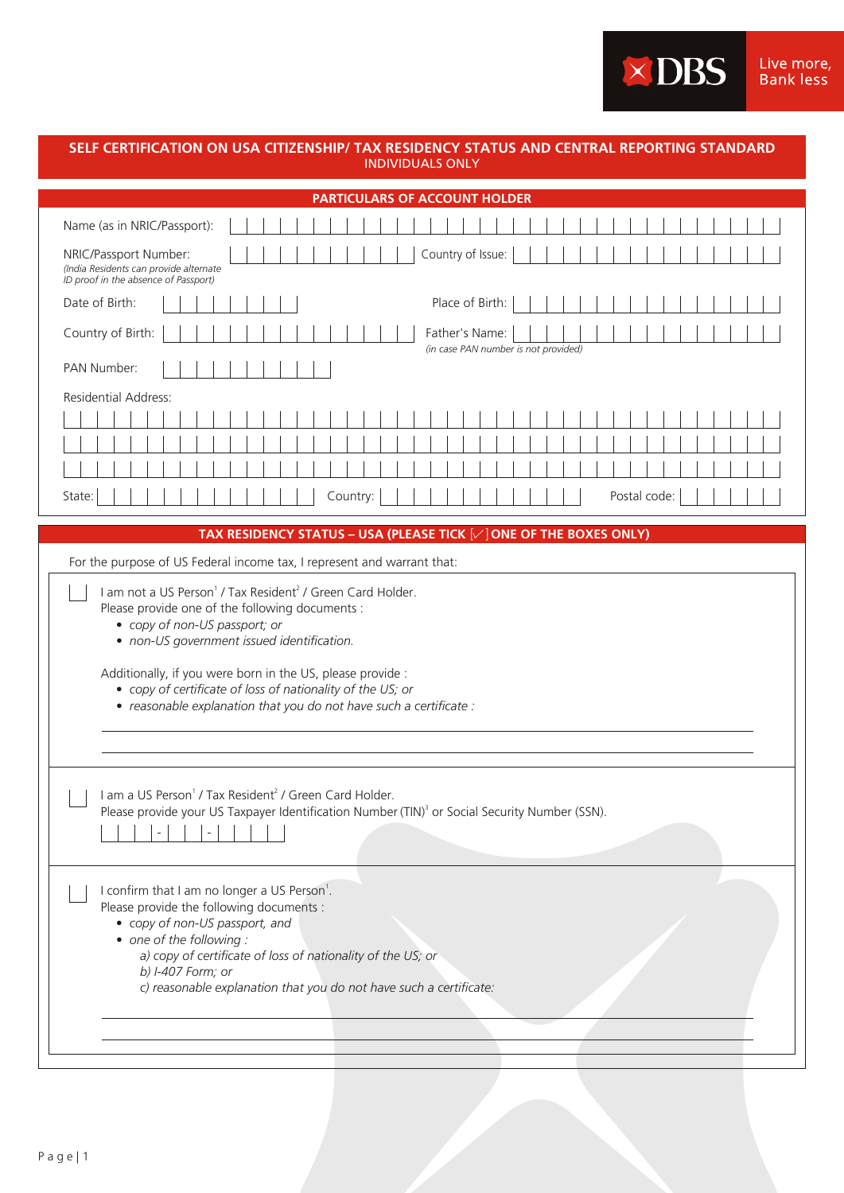XDBS Live more,<br>Bank less

## **SELF CERTIFICATION ON USA CITIZENSHIP/ TAX RESIDENCY STATUS AND CENTRAL REPORTING STANDARD** INDIVIDUALS ONLY

| <b>PARTICULARS OF ACCOUNT HOLDER</b>                                                                                                                                                                                                                                                                                             |  |  |  |  |  |  |  |
|----------------------------------------------------------------------------------------------------------------------------------------------------------------------------------------------------------------------------------------------------------------------------------------------------------------------------------|--|--|--|--|--|--|--|
| Name (as in NRIC/Passport):                                                                                                                                                                                                                                                                                                      |  |  |  |  |  |  |  |
| Country of Issue:<br>NRIC/Passport Number:<br>(India Residents can provide alternate<br>ID proof in the absence of Passport)                                                                                                                                                                                                     |  |  |  |  |  |  |  |
| Date of Birth:<br>Place of Birth:                                                                                                                                                                                                                                                                                                |  |  |  |  |  |  |  |
| Country of Birth:<br>Father's Name:<br>(in case PAN number is not provided)                                                                                                                                                                                                                                                      |  |  |  |  |  |  |  |
| PAN Number:                                                                                                                                                                                                                                                                                                                      |  |  |  |  |  |  |  |
| <b>Residential Address:</b>                                                                                                                                                                                                                                                                                                      |  |  |  |  |  |  |  |
|                                                                                                                                                                                                                                                                                                                                  |  |  |  |  |  |  |  |
|                                                                                                                                                                                                                                                                                                                                  |  |  |  |  |  |  |  |
|                                                                                                                                                                                                                                                                                                                                  |  |  |  |  |  |  |  |
| State:<br>Country:<br>Postal code:                                                                                                                                                                                                                                                                                               |  |  |  |  |  |  |  |
| TAX RESIDENCY STATUS - USA (PLEASE TICK $[\sqrt{ }]$ ONE OF THE BOXES ONLY)                                                                                                                                                                                                                                                      |  |  |  |  |  |  |  |
| For the purpose of US Federal income tax, I represent and warrant that:                                                                                                                                                                                                                                                          |  |  |  |  |  |  |  |
| Please provide one of the following documents :<br>• copy of non-US passport; or<br>• non-US government issued identification.<br>Additionally, if you were born in the US, please provide :<br>• copy of certificate of loss of nationality of the US; or<br>· reasonable explanation that you do not have such a certificate : |  |  |  |  |  |  |  |
| I am a US Person <sup>1</sup> / Tax Resident <sup>2</sup> / Green Card Holder.<br>Please provide your US Taxpayer Identification Number (TIN) <sup>3</sup> or Social Security Number (SSN).<br>$\blacksquare$                                                                                                                    |  |  |  |  |  |  |  |
| I confirm that I am no longer a US Person <sup>1</sup> .<br>Please provide the following documents :<br>• copy of non-US passport, and<br>• one of the following :<br>a) copy of certificate of loss of nationality of the US; or<br>b) I-407 Form; or<br>c) reasonable explanation that you do not have such a certificate:     |  |  |  |  |  |  |  |